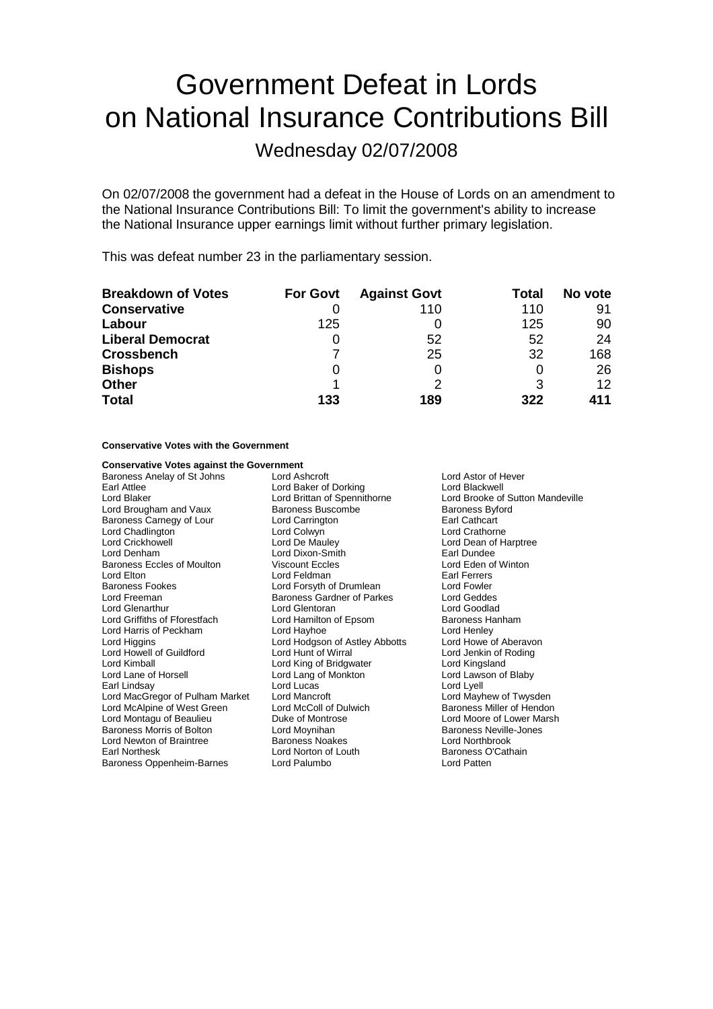# Government Defeat in Lords on National Insurance Contributions Bill

Wednesday 02/07/2008

On 02/07/2008 the government had a defeat in the House of Lords on an amendment to the National Insurance Contributions Bill: To limit the government's ability to increase the National Insurance upper earnings limit without further primary legislation.

This was defeat number 23 in the parliamentary session.

| <b>Breakdown of Votes</b> | <b>For Govt</b> | <b>Against Govt</b> | Total | No vote |
|---------------------------|-----------------|---------------------|-------|---------|
| <b>Conservative</b>       |                 | 110                 | 110   | 91      |
| Labour                    | 125             |                     | 125   | 90      |
| <b>Liberal Democrat</b>   |                 | 52                  | 52    | 24      |
| <b>Crossbench</b>         |                 | 25                  | 32    | 168     |
| <b>Bishops</b>            |                 |                     |       | 26      |
| <b>Other</b>              |                 |                     |       | 12      |
| <b>Total</b>              | 133             | 189                 | 322   | 411     |

### **Conservative Votes with the Government**

### **Conservative Votes against the Government**

Baroness Anelay of St Johns Lord Ashcroft Lord Ashcroft Lord Astor of Hever Earl Attlee Lord Baker of Dorking Lord Blackwell<br>
Lord Blaker Lord Brittan of Spennithorne Lord Brooke of Lord Brougham and Vaux Baroness Buscombe Baroness Byford Baroness Carnegy of Lour Lord Carrington **Earl Cathcart**<br>
Lord Chadlington Lord Colwyn Lord Colwyn Lord Crathorne Lord Chadlington **Lord Colwyn Lord Colwyn**<br>
Lord Crickhowell **Lord De Mauley** Lord Denham Lord Dixon-Smith Earl Dundee Baroness Eccles of Moulton Viscount Eccles Lord Eden of Winton<br>
Lord Elton Lord Eccles Lord Feldman Lord Earl Ferrers Baroness Fookes **Lord Forsyth of Drumlean** Lord Freeman **Baroness Gardner of Parkes** Lord Geddes<br>
Lord Glenarthur Lord General Lord General Lord Goodlad Lord Glenarthur **Lord Glentoran**<br>
Lord Griffiths of Fforestfach **Lord Hamilton of Epsom** Baroness Hanham Lord Griffiths of Fforestfach Lord Harris of Peckham Lord Hayhoe Lord Henley Lord Higgins Lord Hodgson of Astley Abbotts Lord Howe of Aberavon Lord Howell of Guildford Lord Hunt of Wirral Lord Hunt Cord Jenkin of Ford Jenkin of Ford Kingsland Lord Lane of Horsell Lord Lang of Monkton Lord Lawson of Blaby Earl Lindsay **Lord Lucas** Lord Lucas **Lord Lyell** Lord MacGregor of Pulham Market Lord Mancroft Lord Mayhew of Twysden Lord McAlpine of West Green Lord Montagu of Beaulieu **Duke of Montrose** Lord Moore of Lower Marsh<br>
Baroness Morris of Bolton **Lord Movnihan** Lord Movnihan Baroness Neville-Jones Baroness Morris of Bolton Lord Moynihan<br>
Lord Newton of Braintree Baroness Noakes<br>
Lord Newton of Braintree Baroness Noakes Lord Northbrook Lord Newton of Braintree Earl Northesk Lord Norton of Louth Baroness O'Cathain Baroness Oppenheim-Barnes Lord Palumbo Lord Patten

Lord Feldman<br>
Lord Forsyth of Drumlean<br>
Lord Fowler Lord King of Bridgwater

Lord Brittan of Spennithorne Lord Brooke of Sutton Mandeville<br>
Baroness Buscombe Baroness Byford Lord Dean of Harptree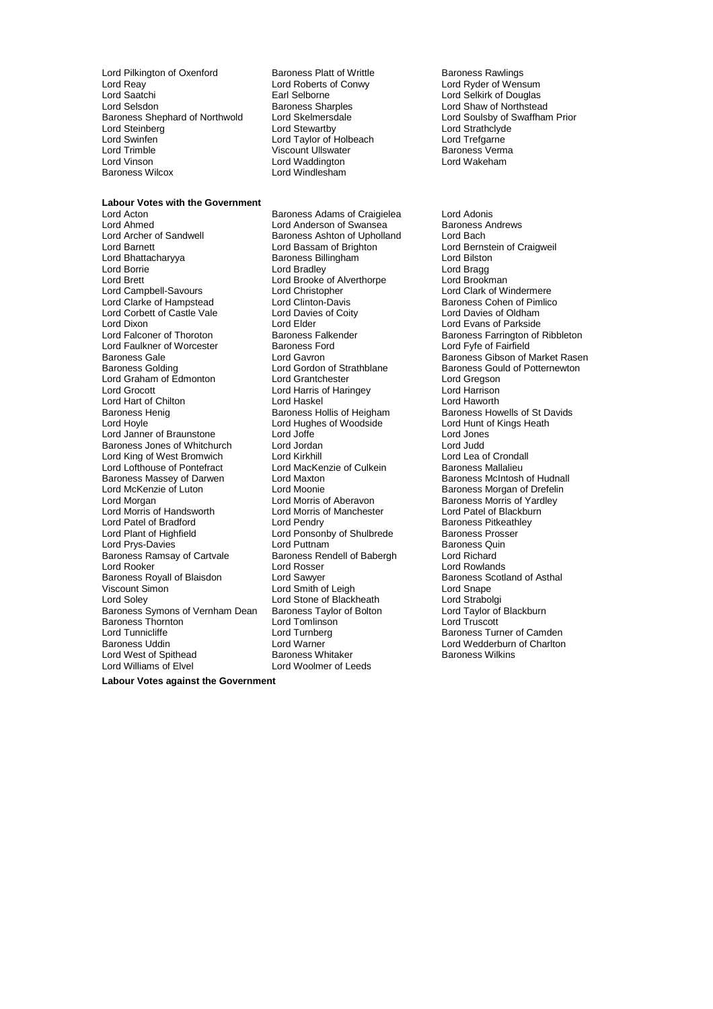Lord Pilkington of Oxenford Baroness Platt of Writtle Baroness Rawlings Lord Reay **Lord Roberts of Conwy**<br>
Lord Saatchi **Conwy**<br>
Larl Selborne Lord Saatchi Earl Selborne Lord Selkirk of Douglas Lord Selsdon **Baroness Sharples** Lord Shaw of Northstead Baroness Sharples<br>
Baroness Shephard of Northwold Lord Skelmersdale Lord Soulsby of Swaffham Baroness Shephard of Northwold Lord Skelmersdale Lord Soulsby of Swaffham Prior<br>
Lord Stewartby Lord Structure Lord Structure Lord Strathclyde Lord Steinberg **Lord Steinberg** Lord Steinberg Lord Strathclyden Lord Strathclyde<br>
Lord Swinfen **Lord Taylor Cord Taylor of Holbeach** Lord Trefgarne Lord Trimble Viscount Ullswater Baroness Verma Lord Vinson<br>
Baroness Wilcox<br>
Lord Windlesham

**Labour Votes with the Government**

Lord Stewartsy<br>Lord Taylor of Holbeach Lord Windlesham

Lord Ahmed **Lord Anderson of Swansea** Baroness Andrews<br>
Lord Archer of Sandwell **Baroness Ashton of Upholland** Lord Bach Lord Archer of Sandwell Baroness Ashton of Upholland<br>
Lord Barnett Lord Bassam of Brighton Lord Barnett Lord Bassam of Brighton Lord Bernstein of Craigweil Lord Bhattacharyya Baroness Billingham Lord Bilston Lord Borrie **Constanting Construction**<br>
Lord Brand Brook Lord Brooke of Alverthorpe Lord Brookman<br>
Lord Brookman Lord Brett Lord Brooke of Alverthorpe<br>
Lord Campbell-Savours Lord Christopher Lord Clarke of Hampstead Lord Clinton-Davis **Baroness Cohen of Pimlico**<br>
Lord Corbett of Castle Vale Lord Davies of Coity Lord Davies of Oldham Lord Corbett of Castle Vale Lord Davie<br>
Lord Dixon Lord Flder Lord Dixon Lord Elder Lord Elder Lord Evans of Parkside<br>
Lord Ealconer of Thoroton Baroness Falkender Baroness Farrington of Lord Faulkner of Worcester **Baroness Ford Faulkner**<br>Baroness Gale **Barones** Cord Gavron Baroness Gale **Communist Clubson Clubson** Lord Gavron **Baroness Gibson of Market Rasen**<br>Baroness Golding **Baroness Colding** Lord Gordon of Strathblane Baroness Gould of Potternewton Lord Graham of Edmonton Lord Grantchester Lord Gregson Lord Hart of Chilton Lord Haskel Lord Haskel Lord Haskel Lord Haworth Baroness Hollis of Heigham Baroness Henig **Baroness Hollis of Heigham** Baroness Howells of St Davids Lord Hoyle **Lord Hughes of Woodside** Lord Hunt of Kings Heath<br>
Lord Janner of Braunstone Lord Joffe Lord Joffe **Lord Jones** Lord Janner of Braunstone Lord Joffe Lord Jones Baroness Jones of Whitchurch Lord Jordan Lord Judd Lord King of West Bromwich Lord Kirkhill<br>
Lord Lofthouse of Pontefract Lord MacKenzie of Culkein Baroness Mallalieu Lord Lofthouse of Pontefract Lord MacKer<br>Baroness Massev of Darwen Lord Maxton Baroness Massey of Darwen Lord Maxton Baroness McIntosh of Hudnall Lord Morgan **Lord Morris of Aberavon** Baroness Morris of Yardley<br>
Lord Morris of Handsworth Lord Morris of Manchester **Lord Patel of Blackburn** Lord Patel of Bradford **Lord Pendry** Cord Pendry **Baroness Pitkeath**<br>
Lord Plant of Highfield **Baroness Prosser** Lord Prys-Davies **Lord Puttnam**<br>
Baroness Ramsav of Cartvale **Baroness Rendell of Babergh** Plord Richard Baroness Ramsay of Cartvale Baroness Rendell Baroness Rendell State Baroness Rendell Baroness Rendell Barones<br>
Lord Rosser Lord Rooker Lord Rosser Lord Rowlands Baroness Royall of Blaisdon Lord Sawyer Corporation Baroness Scotland of Asthal<br>
Lord Samith of Leigh Lord Snape<br>
Lord Snape Viscount Simon Lord Smith of Leigh Lord Snape<br>
Lord Solev Lord Stone of Blackheath Lord Strabolgi Baroness Symons of Vernham Dean Baroness Taylor of Bolton Lord Taylor of Baroness Taylor of Bolton Lord Truscott Baroness Thornton and Lord Tomlinson<br>
Lord Tunnicliffe and Lord Turnberg Lord Tunnicliffe Turnberg Lord Turnberg Baroness Turner of Camden<br>
Baroness Uddin Baroness I ord Warner Baroness I ord Wedderburn of Charlton Lord West of Spithead Baroness Whitaker<br>
Lord Williams of Elvel Baroness Woolmer of Leeds Lord Williams of Elvel

Lord Acton **Baroness Adams of Craigielea** Lord Adonis Lord Grocott Lord Harris of Haringey Lord Harrison Lord Morris of Manchester Lord Patel of Blackburn Lord Patel of Blackburn Lord Patel of Blackburn Lord Patel of Patel of Blackburn Lord Patel of Blackburn Lord Patel of Blackburn Lord Patel of Blackburn Lord Patel of Black Lord Ponsonby of Shulbrede Baroness Pross<br>
Lord Puttnam Baroness Quin Lord Stone of Blackheath Lord Strabolgi<br>
Baroness Taylor of Bolton Lord Taylor of Blackburn

Lord Clark of Windermere Baroness Falkender **Communist Baroness Falkender** Baroness Farrington of Ribbleton Baroness Farrington Baroness Farrington Baroness Farrington Baroness Farrington Baroness Farrington Baroness Farrington Baroness Farrington Baroness Gould of Potternewton Baroness Morgan of Drefelin Lord Warner Lord Wedderburn of Charlton Baroness Whitaker Lord Wedderburn of Charlton

**Labour Votes against the Government**